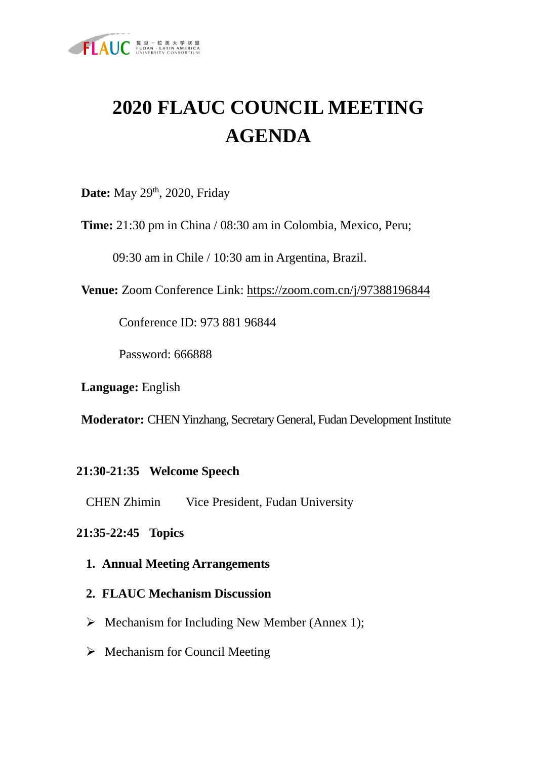

# **2020 FLAUC COUNCIL MEETING AGENDA**

**Date:** May 29<sup>th</sup>, 2020, Friday

**Time:** 21:30 pm in China / 08:30 am in Colombia, Mexico, Peru;

09:30 am in Chile / 10:30 am in Argentina, Brazil.

**Venue:** Zoom Conference Link:<https://zoom.com.cn/j/97388196844>

Conference ID: 973 881 96844

Password: 666888

**Language:** English

**Moderator:** CHEN Yinzhang, Secretary General, Fudan Development Institute

### **21:30-21:35 Welcome Speech**

CHEN Zhimin Vice President, Fudan University

### **21:35-22:45 Topics**

- **1. Annual Meeting Arrangements**
- **2. FLAUC Mechanism Discussion**
- $\triangleright$  Mechanism for Including New Member (Annex 1);
- $\triangleright$  Mechanism for Council Meeting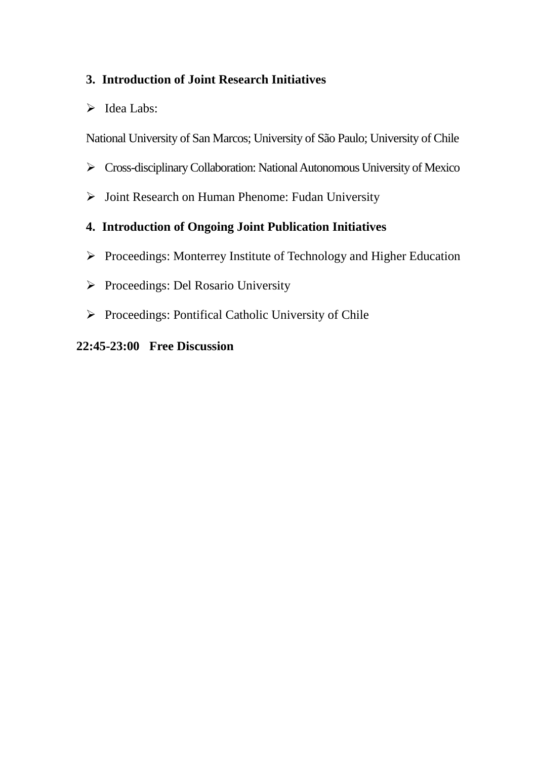### **3. Introduction of Joint Research Initiatives**

 $\triangleright$  Idea Labs:

National University of San Marcos; University of São Paulo; University of Chile

- Cross-disciplinary Collaboration: National Autonomous University of Mexico
- $\triangleright$  Joint Research on Human Phenome: Fudan University

## **4. Introduction of Ongoing Joint Publication Initiatives**

- Proceedings: Monterrey Institute of Technology and Higher Education
- $\triangleright$  Proceedings: Del Rosario University
- $\triangleright$  Proceedings: Pontifical Catholic University of Chile

#### **22:45-23:00 Free Discussion**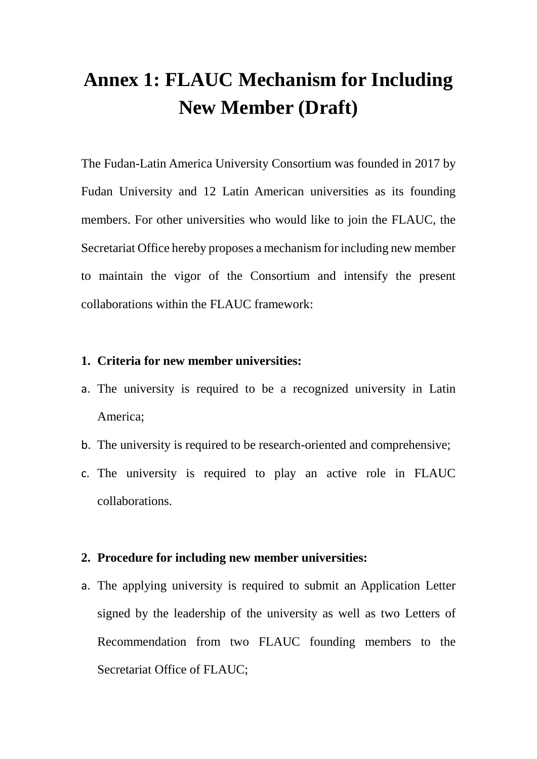## **Annex 1: FLAUC Mechanism for Including New Member (Draft)**

The Fudan-Latin America University Consortium was founded in 2017 by Fudan University and 12 Latin American universities as its founding members. For other universities who would like to join the FLAUC, the Secretariat Office hereby proposes a mechanism for including new member to maintain the vigor of the Consortium and intensify the present collaborations within the FLAUC framework:

#### **1. Criteria for new member universities:**

- a. The university is required to be a recognized university in Latin America;
- b. The university is required to be research-oriented and comprehensive;
- c. The university is required to play an active role in FLAUC collaborations.

#### **2. Procedure for including new member universities:**

a. The applying university is required to submit an Application Letter signed by the leadership of the university as well as two Letters of Recommendation from two FLAUC founding members to the Secretariat Office of FLAUC;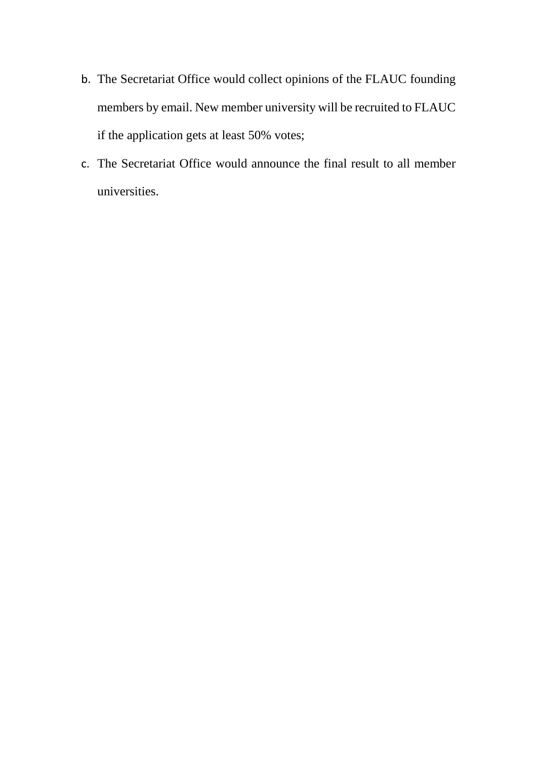- b. The Secretariat Office would collect opinions of the FLAUC founding members by email. New member university will be recruited to FLAUC if the application gets at least 50% votes;
- c. The Secretariat Office would announce the final result to all member universities.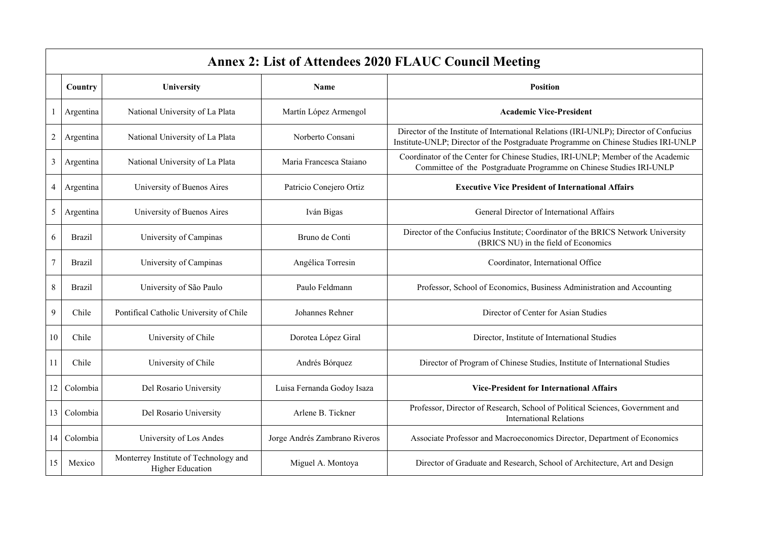|                | <b>Annex 2: List of Attendees 2020 FLAUC Council Meeting</b> |                                                                  |                               |                                                                                                                                                                              |  |  |
|----------------|--------------------------------------------------------------|------------------------------------------------------------------|-------------------------------|------------------------------------------------------------------------------------------------------------------------------------------------------------------------------|--|--|
|                | Country                                                      | University                                                       | <b>Name</b>                   | <b>Position</b>                                                                                                                                                              |  |  |
|                | Argentina                                                    | National University of La Plata                                  | Martín López Armengol         | <b>Academic Vice-President</b>                                                                                                                                               |  |  |
| $\overline{c}$ | Argentina                                                    | National University of La Plata                                  | Norberto Consani              | Director of the Institute of International Relations (IRI-UNLP); Director of Confucius<br>Institute-UNLP; Director of the Postgraduate Programme on Chinese Studies IRI-UNLP |  |  |
| 3              | Argentina                                                    | National University of La Plata                                  | Maria Francesca Staiano       | Coordinator of the Center for Chinese Studies, IRI-UNLP; Member of the Academic<br>Committee of the Postgraduate Programme on Chinese Studies IRI-UNLP                       |  |  |
| 4              | Argentina                                                    | University of Buenos Aires                                       | Patricio Conejero Ortiz       | <b>Executive Vice President of International Affairs</b>                                                                                                                     |  |  |
| 5              | Argentina                                                    | University of Buenos Aires                                       | Iván Bigas                    | General Director of International Affairs                                                                                                                                    |  |  |
| 6              | <b>Brazil</b>                                                | University of Campinas                                           | Bruno de Conti                | Director of the Confucius Institute; Coordinator of the BRICS Network University<br>(BRICS NU) in the field of Economics                                                     |  |  |
| $\overline{7}$ | <b>Brazil</b>                                                | University of Campinas                                           | Angélica Torresin             | Coordinator, International Office                                                                                                                                            |  |  |
| $8\,$          | <b>Brazil</b>                                                | University of São Paulo                                          | Paulo Feldmann                | Professor, School of Economics, Business Administration and Accounting                                                                                                       |  |  |
| 9              | Chile                                                        | Pontifical Catholic University of Chile                          | Johannes Rehner               | Director of Center for Asian Studies                                                                                                                                         |  |  |
| 10             | Chile                                                        | University of Chile                                              | Dorotea López Giral           | Director, Institute of International Studies                                                                                                                                 |  |  |
| 11             | Chile                                                        | University of Chile                                              | Andrés Bórquez                | Director of Program of Chinese Studies, Institute of International Studies                                                                                                   |  |  |
| 12             | Colombia                                                     | Del Rosario University                                           | Luisa Fernanda Godoy Isaza    | <b>Vice-President for International Affairs</b>                                                                                                                              |  |  |
| 13             | Colombia                                                     | Del Rosario University                                           | Arlene B. Tickner             | Professor, Director of Research, School of Political Sciences, Government and<br><b>International Relations</b>                                                              |  |  |
| 14             | Colombia                                                     | University of Los Andes                                          | Jorge Andrés Zambrano Riveros | Associate Professor and Macroeconomics Director, Department of Economics                                                                                                     |  |  |
| 15             | Mexico                                                       | Monterrey Institute of Technology and<br><b>Higher Education</b> | Miguel A. Montoya             | Director of Graduate and Research, School of Architecture, Art and Design                                                                                                    |  |  |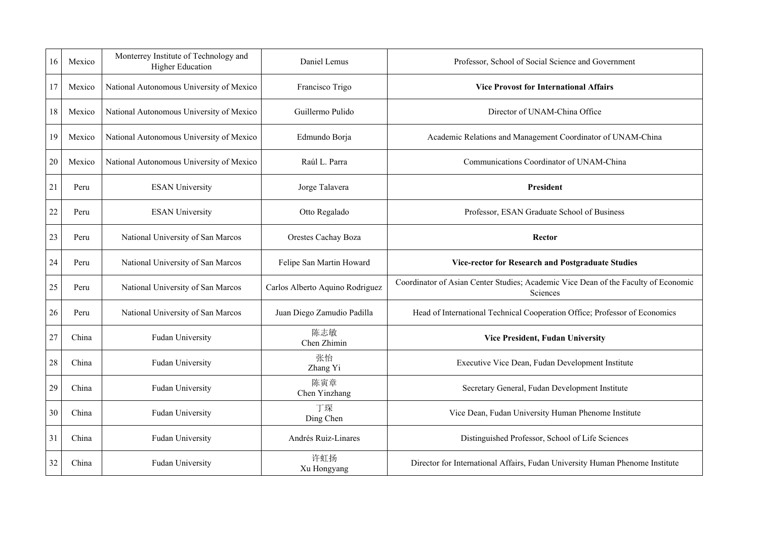| 16 | Mexico | Monterrey Institute of Technology and<br><b>Higher Education</b> | Daniel Lemus                    | Professor, School of Social Science and Government                                             |
|----|--------|------------------------------------------------------------------|---------------------------------|------------------------------------------------------------------------------------------------|
| 17 | Mexico | National Autonomous University of Mexico                         | Francisco Trigo                 | <b>Vice Provost for International Affairs</b>                                                  |
| 18 | Mexico | National Autonomous University of Mexico                         | Guillermo Pulido                | Director of UNAM-China Office                                                                  |
| 19 | Mexico | National Autonomous University of Mexico                         | Edmundo Borja                   | Academic Relations and Management Coordinator of UNAM-China                                    |
| 20 | Mexico | National Autonomous University of Mexico                         | Raúl L. Parra                   | Communications Coordinator of UNAM-China                                                       |
| 21 | Peru   | <b>ESAN University</b>                                           | Jorge Talavera                  | <b>President</b>                                                                               |
| 22 | Peru   | <b>ESAN University</b>                                           | Otto Regalado                   | Professor, ESAN Graduate School of Business                                                    |
| 23 | Peru   | National University of San Marcos                                | Orestes Cachay Boza             | Rector                                                                                         |
| 24 | Peru   | National University of San Marcos                                | Felipe San Martin Howard        | Vice-rector for Research and Postgraduate Studies                                              |
| 25 | Peru   | National University of San Marcos                                | Carlos Alberto Aquino Rodriguez | Coordinator of Asian Center Studies; Academic Vice Dean of the Faculty of Economic<br>Sciences |
| 26 | Peru   | National University of San Marcos                                | Juan Diego Zamudio Padilla      | Head of International Technical Cooperation Office; Professor of Economics                     |
| 27 | China  | Fudan University                                                 | 陈志敏<br>Chen Zhimin              | <b>Vice President, Fudan University</b>                                                        |
| 28 | China  | Fudan University                                                 | 张怡<br>Zhang Yi                  | Executive Vice Dean, Fudan Development Institute                                               |
| 29 | China  | Fudan University                                                 | 陈寅章<br>Chen Yinzhang            | Secretary General, Fudan Development Institute                                                 |
| 30 | China  | Fudan University                                                 | 丁琛<br>Ding Chen                 | Vice Dean, Fudan University Human Phenome Institute                                            |
| 31 | China  | Fudan University                                                 | Andrés Ruiz-Linares             | Distinguished Professor, School of Life Sciences                                               |
| 32 | China  | Fudan University                                                 | 许虹扬<br>Xu Hongyang              | Director for International Affairs, Fudan University Human Phenome Institute                   |